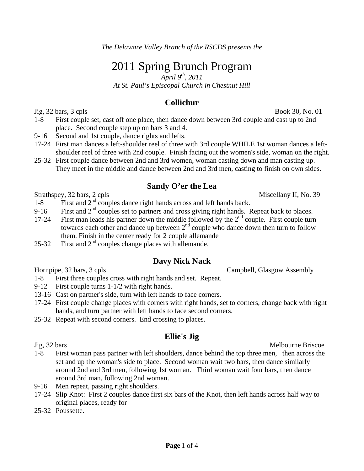# 2011 Spring Brunch Program

*April 9th, 2011* 

*At St. Paul's Episcopal Church in Chestnut Hill* 

## **Collichur**

 $\text{Jig}, 32 \text{ bars}, 3 \text{ cpls}$  Book 30, No. 01

- 1-8 First couple set, cast off one place, then dance down between 3rd couple and cast up to 2nd place. Second couple step up on bars 3 and 4.
- 9-16 Second and 1st couple, dance rights and lefts.
- 17-24 First man dances a left-shoulder reel of three with 3rd couple WHILE 1st woman dances a leftshoulder reel of three with 2nd couple. Finish facing out the women's side, woman on the right.
- 25-32 First couple dance between 2nd and 3rd women, woman casting down and man casting up. They meet in the middle and dance between 2nd and 3rd men, casting to finish on own sides.

## **Sandy O'er the Lea**

Strathspey, 32 bars, 2 cpls Miscellany II, No. 39

- 1-8 First and 2<sup>nd</sup> couples dance right hands across and left hands back.
- 9-16 First and  $2<sup>nd</sup>$  couples set to partners and cross giving right hands. Repeat back to places.
- 17-24 First man leads his partner down the middle followed by the 2<sup>nd</sup> couple. First couple turn towards each other and dance up between  $2<sup>nd</sup>$  couple who dance down then turn to follow them. Finish in the center ready for 2 couple allemande
- 25-32 First and  $2<sup>nd</sup>$  couples change places with allemande.

## **Davy Nick Nack**

Hornpipe, 32 bars, 3 cpls Campbell, Glasgow Assembly

- 1-8 First three couples cross with right hands and set. Repeat.
- 9-12 First couple turns 1-1/2 with right hands.
- 13-16 Cast on partner's side, turn with left hands to face corners.
- 17-24 First couple change places with corners with right hands, set to corners, change back with right hands, and turn partner with left hands to face second corners.
- 25-32 Repeat with second corners. End crossing to places.

## **Ellie's Jig**

Jig, 32 bars Melbourne Briscoe 1-8 First woman pass partner with left shoulders, dance behind the top three men, then across the set and up the woman's side to place. Second woman wait two bars, then dance similarly around 2nd and 3rd men, following 1st woman. Third woman wait four bars, then dance around 3rd man, following 2nd woman.

- 9-16 Men repeat, passing right shoulders.
- 17-24 Slip Knot: First 2 couples dance first six bars of the Knot, then left hands across half way to original places, ready for
- 25-32 Poussette.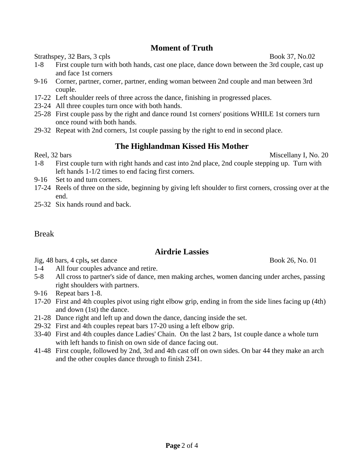## **Moment of Truth**

Strathspey, 32 Bars, 3 cpls Book 37, No.02

- 1-8 First couple turn with both hands, cast one place, dance down between the 3rd couple, cast up and face 1st corners
- 9-16 Corner, partner, corner, partner, ending woman between 2nd couple and man between 3rd couple.
- 17-22 Left shoulder reels of three across the dance, finishing in progressed places.
- 23-24 All three couples turn once with both hands.
- 25-28 First couple pass by the right and dance round 1st corners' positions WHILE 1st corners turn once round with both hands.
- 29-32 Repeat with 2nd corners, 1st couple passing by the right to end in second place.

## **The Highlandman Kissed His Mother**

Reel, 32 bars Miscellany I, No. 20

- 1-8 First couple turn with right hands and cast into 2nd place, 2nd couple stepping up. Turn with left hands 1-1/2 times to end facing first corners.
- 9-16 Set to and turn corners.
- 17-24 Reels of three on the side, beginning by giving left shoulder to first corners, crossing over at the end.
- 25-32 Six hands round and back.

#### Break

## **Airdrie Lassies**

Jig, 48 bars, 4 cpls**,** set dance Book 26, No. 01

- 1-4 All four couples advance and retire.
- 5-8 All cross to partner's side of dance, men making arches, women dancing under arches, passing right shoulders with partners.
- 9-16 Repeat bars 1-8.
- 17-20 First and 4th couples pivot using right elbow grip, ending in from the side lines facing up (4th) and down (1st) the dance.
- 21-28 Dance right and left up and down the dance, dancing inside the set.
- 29-32 First and 4th couples repeat bars 17-20 using a left elbow grip.
- 33-40 First and 4th couples dance Ladies' Chain. On the last 2 bars, 1st couple dance a whole turn with left hands to finish on own side of dance facing out.
- 41-48 First couple, followed by 2nd, 3rd and 4th cast off on own sides. On bar 44 they make an arch and the other couples dance through to finish 2341.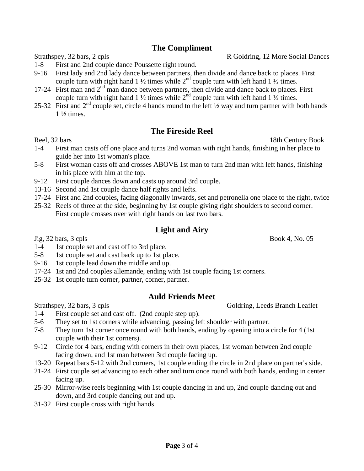## **The Compliment**

- 1-8 First and 2nd couple dance Poussette right round.
- 9-16 First lady and 2nd lady dance between partners, then divide and dance back to places. First couple turn with right hand 1  $\frac{1}{2}$  times while  $2^{nd}$  couple turn with left hand 1  $\frac{1}{2}$  times.
- 17-24 First man and  $2<sup>nd</sup>$  man dance between partners, then divide and dance back to places. First couple turn with right hand 1  $\frac{1}{2}$  times while  $2^{nd}$  couple turn with left hand 1  $\frac{1}{2}$  times.
- 25-32 First and  $2<sup>nd</sup>$  couple set, circle 4 hands round to the left  $\frac{1}{2}$  way and turn partner with both hands  $1\frac{1}{2}$  times.

#### **The Fireside Reel**

- 1-4 First man casts off one place and turns 2nd woman with right hands, finishing in her place to guide her into 1st woman's place.
- 5-8 First woman casts off and crosses ABOVE 1st man to turn 2nd man with left hands, finishing in his place with him at the top.
- 9-12 First couple dances down and casts up around 3rd couple.
- 13-16 Second and 1st couple dance half rights and lefts.
- 17-24 First and 2nd couples, facing diagonally inwards, set and petronella one place to the right, twice
- 25-32 Reels of three at the side, beginning by 1st couple giving right shoulders to second corner. First couple crosses over with right hands on last two bars.

#### **Light and Airy**

 $Jig, 32 \text{ bars}, 3 \text{ c}$  pls Book 4, No. 05

- 1-4 1st couple set and cast off to 3rd place.
- 5-8 1st couple set and cast back up to 1st place.
- 9-16 1st couple lead down the middle and up.
- 17-24 1st and 2nd couples allemande, ending with 1st couple facing 1st corners.
- 25-32 1st couple turn corner, partner, corner, partner.

## **Auld Friends Meet**

Strathspey, 32 bars, 3 cpls Goldring, Leeds Branch Leaflet

- 1-4 First couple set and cast off. (2nd couple step up).
- 5-6 They set to 1st corners while advancing, passing left shoulder with partner.
- 7-8 They turn 1st corner once round with both hands, ending by opening into a circle for 4 (1st couple with their 1st corners).
- 9-12 Circle for 4 bars, ending with corners in their own places, 1st woman between 2nd couple facing down, and 1st man between 3rd couple facing up.
- 13-20 Repeat bars 5-12 with 2nd corners, 1st couple ending the circle in 2nd place on partner's side.
- 21-24 First couple set advancing to each other and turn once round with both hands, ending in center facing up.
- 25-30 Mirror-wise reels beginning with 1st couple dancing in and up, 2nd couple dancing out and down, and 3rd couple dancing out and up.
- 31-32 First couple cross with right hands.

Strathspey, 32 bars, 2 cpls R Goldring, 12 More Social Dances

Reel, 32 bars 18th Century Book